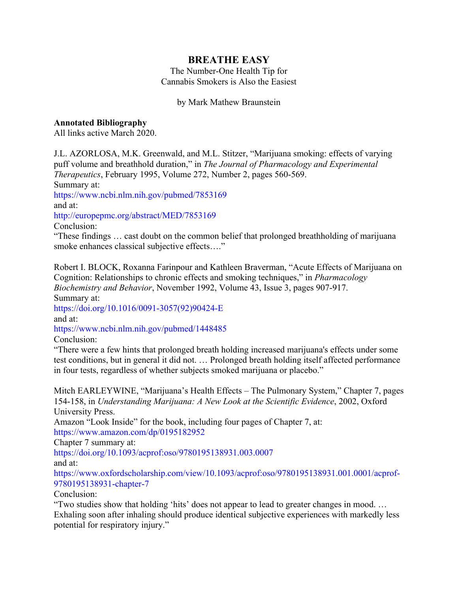## **BREATHE EASY**

The Number-One Health Tip for Cannabis Smokers is Also the Easiest

## by Mark Mathew Braunstein

## **Annotated Bibliography**

All links active March 2020.

J.L. AZORLOSA, M.K. Greenwald, and M.L. Stitzer, "Marijuana smoking: effects of varying puff volume and breathhold duration," in *The Journal of Pharmacology and Experimental Therapeutics*, February 1995, Volume 272, Number 2, pages 560-569.

Summary at:

https://www.ncbi.nlm.nih.gov/pubmed/7853169

and at:

http://europepmc.org/abstract/MED/7853169

Conclusion:

"These findings … cast doubt on the common belief that prolonged breathholding of marijuana smoke enhances classical subjective effects…."

Robert I. BLOCK, Roxanna Farinpour and Kathleen Braverman, "Acute Effects of Marijuana on Cognition: Relationships to chronic effects and smoking techniques," in *Pharmacology Biochemistry and Behavior*, November 1992, Volume 43, Issue 3, pages 907-917.

Summary at:

https://doi.org/10.1016/0091-3057(92)90424-E and at:

https://www.ncbi.nlm.nih.gov/pubmed/1448485

Conclusion:

"There were a few hints that prolonged breath holding increased marijuana's effects under some test conditions, but in general it did not. … Prolonged breath holding itself affected performance in four tests, regardless of whether subjects smoked marijuana or placebo."

Mitch EARLEYWINE, "Marijuana's Health Effects – The Pulmonary System," Chapter 7, pages 154-158, in *Understanding Marijuana: A New Look at the Scientific Evidence*, 2002, Oxford University Press.

Amazon "Look Inside" for the book, including four pages of Chapter 7, at: https://www.amazon.com/dp/0195182952

Chapter 7 summary at:

https://doi.org/10.1093/acprof:oso/9780195138931.003.0007

and at:

https://www.oxfordscholarship.com/view/10.1093/acprof:oso/9780195138931.001.0001/acprof-9780195138931-chapter-7

Conclusion:

"Two studies show that holding 'hits' does not appear to lead to greater changes in mood. … Exhaling soon after inhaling should produce identical subjective experiences with markedly less potential for respiratory injury."